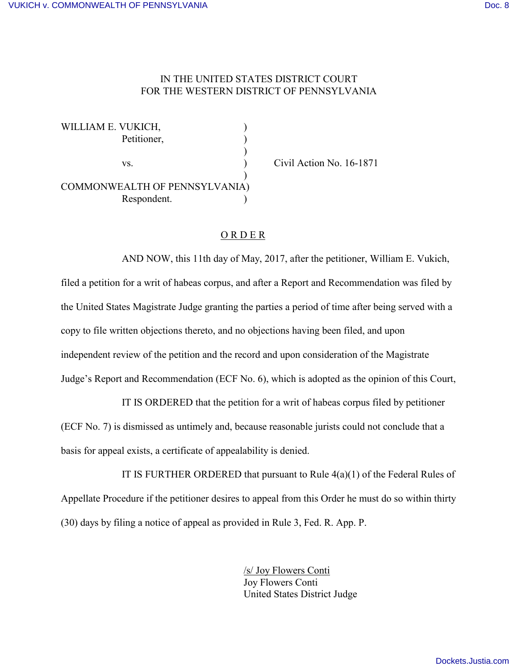## IN THE UNITED STATES DISTRICT COURT FOR THE WESTERN DISTRICT OF PENNSYLVANIA

| WILLIAM E. VUKICH,            |  |
|-------------------------------|--|
| Petitioner,                   |  |
|                               |  |
| VS.                           |  |
|                               |  |
| COMMONWEALTH OF PENNSYLVANIA) |  |
| Respondent.                   |  |

Civil Action No. 16-1871

## O R D E R

AND NOW, this 11th day of May, 2017, after the petitioner, William E. Vukich, filed a petition for a writ of habeas corpus, and after a Report and Recommendation was filed by the United States Magistrate Judge granting the parties a period of time after being served with a copy to file written objections thereto, and no objections having been filed, and upon independent review of the petition and the record and upon consideration of the Magistrate Judge's Report and Recommendation (ECF No. 6), which is adopted as the opinion of this Court,

IT IS ORDERED that the petition for a writ of habeas corpus filed by petitioner (ECF No. 7) is dismissed as untimely and, because reasonable jurists could not conclude that a basis for appeal exists, a certificate of appealability is denied.

IT IS FURTHER ORDERED that pursuant to Rule  $4(a)(1)$  of the Federal Rules of Appellate Procedure if the petitioner desires to appeal from this Order he must do so within thirty (30) days by filing a notice of appeal as provided in Rule 3, Fed. R. App. P.

> /s/ Joy Flowers Conti Joy Flowers Conti United States District Judge